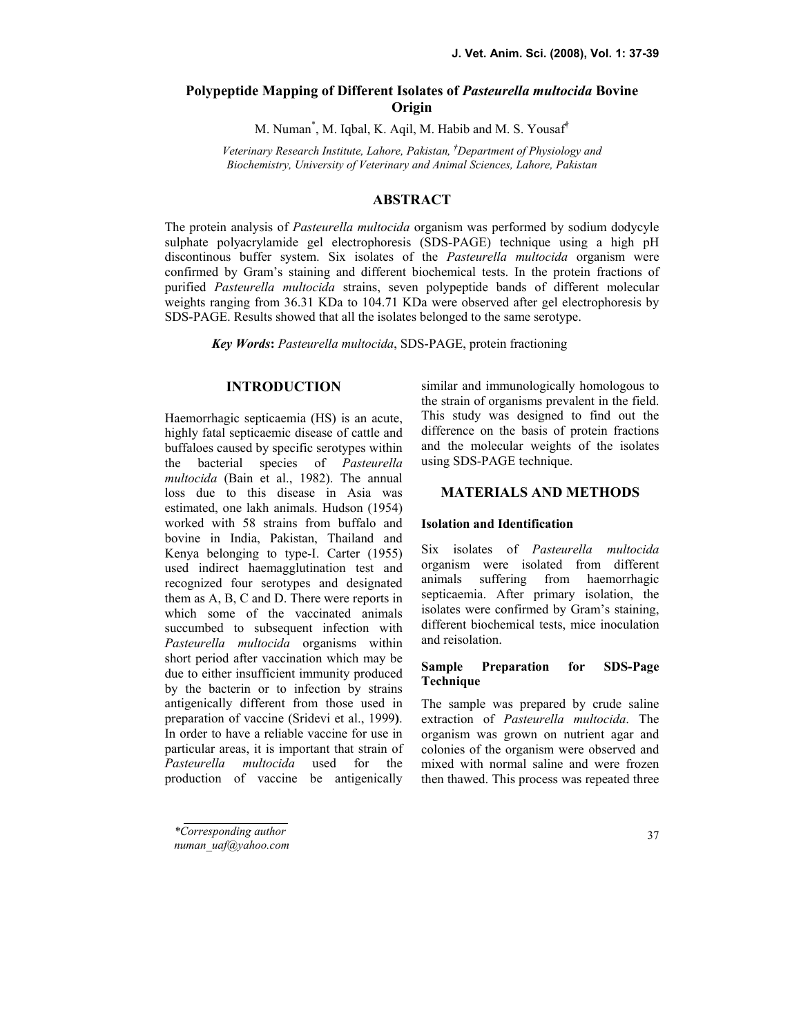# Polypeptide Mapping of Different Isolates of Pasteurella multocida Bovine **Origin**

M. Numan\* , M. Iqbal, K. Aqil, M. Habib and M. S. Yousaf†

Veterinary Research Institute, Lahore, Pakistan, †Department of Physiology and Biochemistry, University of Veterinary and Animal Sciences, Lahore, Pakistan

## ABSTRACT

The protein analysis of *Pasteurella multocida* organism was performed by sodium dodycyle sulphate polyacrylamide gel electrophoresis (SDS-PAGE) technique using a high pH discontinous buffer system. Six isolates of the *Pasteurella multocida* organism were confirmed by Gram's staining and different biochemical tests. In the protein fractions of purified Pasteurella multocida strains, seven polypeptide bands of different molecular weights ranging from 36.31 KDa to 104.71 KDa were observed after gel electrophoresis by SDS-PAGE. Results showed that all the isolates belonged to the same serotype.

Key Words: Pasteurella multocida, SDS-PAGE, protein fractioning

## **INTRODUCTION**

Haemorrhagic septicaemia (HS) is an acute, highly fatal septicaemic disease of cattle and buffaloes caused by specific serotypes within the bacterial species of Pasteurella multocida (Bain et al., 1982). The annual loss due to this disease in Asia was estimated, one lakh animals. Hudson (1954) worked with 58 strains from buffalo and bovine in India, Pakistan, Thailand and Kenya belonging to type-I. Carter (1955) used indirect haemagglutination test and recognized four serotypes and designated them as A, B, C and D. There were reports in which some of the vaccinated animals succumbed to subsequent infection with Pasteurella multocida organisms within short period after vaccination which may be due to either insufficient immunity produced by the bacterin or to infection by strains antigenically different from those used in preparation of vaccine (Sridevi et al., 1999). In order to have a reliable vaccine for use in particular areas, it is important that strain of Pasteurella multocida used for the production of vaccine be antigenically

\*Corresponding author

numan\_uaf@yahoo.com

similar and immunologically homologous to the strain of organisms prevalent in the field. This study was designed to find out the difference on the basis of protein fractions and the molecular weights of the isolates using SDS-PAGE technique.

## **MATERIALS AND METHODS**

#### Isolation and Identification

Six isolates of Pasteurella multocida organism were isolated from different animals suffering from haemorrhagic septicaemia. After primary isolation, the isolates were confirmed by Gram's staining, different biochemical tests, mice inoculation and reisolation.

## Sample Preparation for SDS-Page Technique

The sample was prepared by crude saline extraction of Pasteurella multocida. The organism was grown on nutrient agar and colonies of the organism were observed and mixed with normal saline and were frozen then thawed. This process was repeated three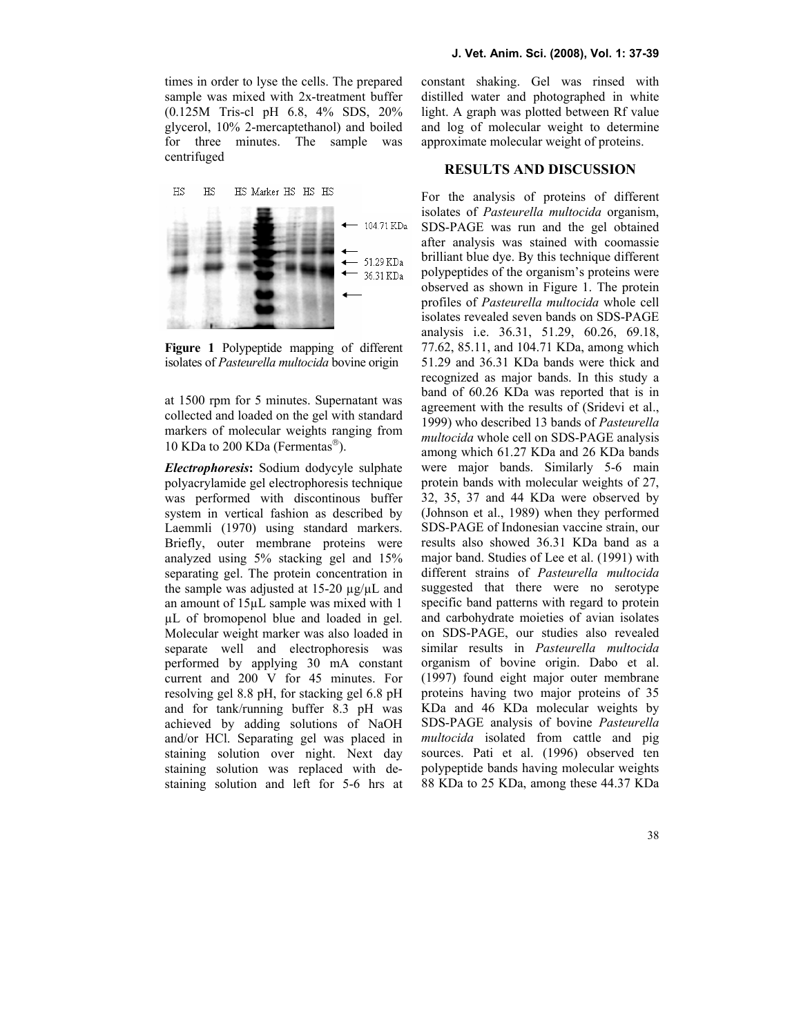times in order to lyse the cells. The prepared sample was mixed with 2x-treatment buffer (0.125M Tris-cl pH 6.8, 4% SDS, 20% glycerol, 10% 2-mercaptethanol) and boiled for three minutes. The sample was centrifuged



Figure 1 Polypeptide mapping of different isolates of Pasteurella multocida bovine origin

at 1500 rpm for 5 minutes. Supernatant was collected and loaded on the gel with standard markers of molecular weights ranging from 10 KDa to 200 KDa (Fermentas ).

Electrophoresis: Sodium dodycyle sulphate polyacrylamide gel electrophoresis technique was performed with discontinous buffer system in vertical fashion as described by Laemmli (1970) using standard markers. Briefly, outer membrane proteins were analyzed using 5% stacking gel and 15% separating gel. The protein concentration in the sample was adjusted at  $15{\text -}20 \mu g/\mu L$  and an amount of 15µL sample was mixed with 1 µL of bromopenol blue and loaded in gel. Molecular weight marker was also loaded in separate well and electrophoresis was performed by applying 30 mA constant current and 200 V for 45 minutes. For resolving gel 8.8 pH, for stacking gel 6.8 pH and for tank/running buffer 8.3 pH was achieved by adding solutions of NaOH and/or HCl. Separating gel was placed in staining solution over night. Next day staining solution was replaced with destaining solution and left for 5-6 hrs at

constant shaking. Gel was rinsed with distilled water and photographed in white light. A graph was plotted between Rf value and log of molecular weight to determine approximate molecular weight of proteins.

## **RESULTS AND DISCUSSION**

For the analysis of proteins of different isolates of Pasteurella multocida organism, SDS-PAGE was run and the gel obtained after analysis was stained with coomassie brilliant blue dye. By this technique different polypeptides of the organism's proteins were observed as shown in Figure 1. The protein profiles of Pasteurella multocida whole cell isolates revealed seven bands on SDS-PAGE analysis i.e. 36.31, 51.29, 60.26, 69.18, 77.62, 85.11, and 104.71 KDa, among which 51.29 and 36.31 KDa bands were thick and recognized as major bands. In this study a band of 60.26 KDa was reported that is in agreement with the results of (Sridevi et al., 1999) who described 13 bands of Pasteurella multocida whole cell on SDS-PAGE analysis among which 61.27 KDa and 26 KDa bands were major bands. Similarly 5-6 main protein bands with molecular weights of 27, 32, 35, 37 and 44 KDa were observed by (Johnson et al., 1989) when they performed SDS-PAGE of Indonesian vaccine strain, our results also showed 36.31 KDa band as a major band. Studies of Lee et al. (1991) with different strains of Pasteurella multocida suggested that there were no serotype specific band patterns with regard to protein and carbohydrate moieties of avian isolates on SDS-PAGE, our studies also revealed similar results in Pasteurella multocida organism of bovine origin. Dabo et al. (1997) found eight major outer membrane proteins having two major proteins of 35 KDa and 46 KDa molecular weights by SDS-PAGE analysis of bovine Pasteurella multocida isolated from cattle and pig sources. Pati et al. (1996) observed ten polypeptide bands having molecular weights 88 KDa to 25 KDa, among these 44.37 KDa